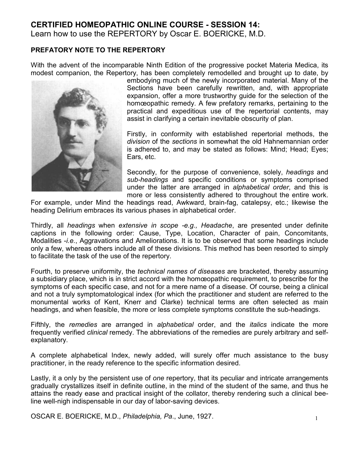## **CERTIFIED HOMEOPATHIC ONLINE COURSE - SESSION 14:**

Learn how to use the REPERTORY by Oscar E. BOERICKE, M.D.

## **PREFATORY NOTE TO THE REPERTORY**

With the advent of the incomparable Ninth Edition of the progressive pocket Materia Medica, its modest companion, the Repertory, has been completely remodelled and brought up to date, by



embodying much of the newly incorporated material. Many of the Sections have been carefully rewritten, and, with appropriate expansion, offer a more trustworthy guide for the selection of the homœopathic remedy. A few prefatory remarks, pertaining to the practical and expeditious use of the repertorial contents, may assist in clarifying a certain inevitable obscurity of plan.

Firstly, in conformity with established repertorial methods, the *division* of the *sections* in somewhat the old Hahnemannian order is adhered to, and may be stated as follows: Mind; Head; Eyes; Ears, etc.

Secondly, for the purpose of convenience, solely, *headings* and *sub-headings* and specific conditions or symptoms comprised under the latter are arranged in *alphabetical order*, and this is more or less consistently adhered to throughout the entire work.

For example, under Mind the headings read, Awkward, brain-fag, catalepsy, etc.; likewise the heading Delirium embraces its various phases in alphabetical order.

Thirdly, all *headings* when *extensive in scope -e.g., Headache*, are presented under definite captions in the following order: Cause, Type, Location, Character of pain, Concomitants, Modalities -*i.e.*, Aggravations and Ameliorations. It is to be observed that some headings include only a few, whereas others include all of these divisions. This method has been resorted to simply to facilitate the task of the use of the repertory.

Fourth, to preserve uniformity, the *technical names of diseases* are bracketed, thereby assuming a subsidiary place, which is in strict accord with the homœopathic requirement, to prescribe for the symptoms of each specific case, and not for a mere name of a disease. Of course, being a clinical and not a truly symptomatological index (for which the practitioner and student are referred to the monumental works of Kent, Knerr and Clarke) technical terms are often selected as main headings, and when feasible, the more or less complete symptoms constitute the sub-headings.

Fifthly, the *remedies* are arranged in *alphabetical* order, and the *italics* indicate the more frequently verified *clinical* remedy. The abbreviations of the remedies are purely arbitrary and selfexplanatory.

A complete alphabetical Index, newly added, will surely offer much assistance to the busy practitioner, in the ready reference to the specific information desired.

Lastly, it a only by the persistent use of *one* repertory, that its peculiar and intricate arrangements gradually crystallizes itself in definite outline, in the mind of the student of the same, and thus he attains the ready ease and practical insight of the collator, thereby rendering such a clinical beeline well-nigh indispensable in our day of labor-saving devices.

OSCAR E. BOERICKE, M.D., *Philadelphia, Pa*., June, 1927.